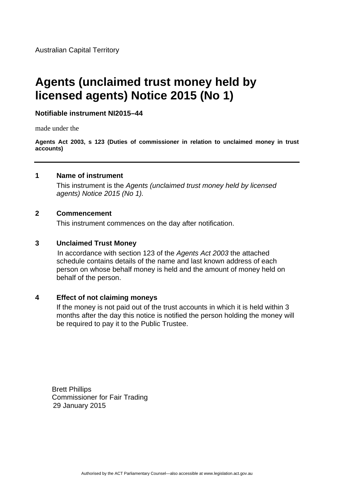# **Agents (unclaimed trust money held by licensed agents) Notice 2015 (No 1)**

# **Notifiable instrument NI2015–44**

made under the

**Agents Act 2003, s 123 (Duties of commissioner in relation to unclaimed money in trust accounts)**

## **1 Name of instrument**

This instrument is the *Agents (unclaimed trust money held by licensed agents) Notice 2015 (No 1).* 

#### **2 Commencement**

This instrument commences on the day after notification.

#### **3 Unclaimed Trust Money**

In accordance with section 123 of the *Agents Act 2003* the attached schedule contains details of the name and last known address of each person on whose behalf money is held and the amount of money held on behalf of the person.

# **4 Effect of not claiming moneys**

If the money is not paid out of the trust accounts in which it is held within 3 months after the day this notice is notified the person holding the money will be required to pay it to the Public Trustee.

Brett Phillips Commissioner for Fair Trading 29 January 2015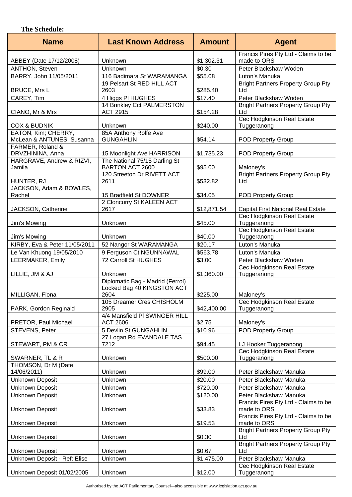## **The Schedule:**

| <b>Name</b>                          | <b>Last Known Address</b>                                      | <b>Amount</b> | <b>Agent</b>                                        |
|--------------------------------------|----------------------------------------------------------------|---------------|-----------------------------------------------------|
| ABBEY (Date 17/12/2008)              | Unknown                                                        | \$1,302.31    | Francis Pires Pty Ltd - Claims to be<br>made to ORS |
| ANTHON, Steven                       | Unknown                                                        | \$0.30        | Peter Blackshaw Woden                               |
| BARRY, John 11/05/2011               | 116 Badimara St WARAMANGA                                      | \$55.08       | Luton's Manuka                                      |
| <b>BRUCE, Mrs L</b>                  | 19 Pelsart St RED HILL ACT<br>2603                             | \$285.40      | <b>Bright Partners Property Group Pty</b><br>Ltd    |
| CAREY, Tim                           | 4 Higgs PI HUGHES                                              | \$17.40       | Peter Blackshaw Woden                               |
|                                      | 14 Brinkley Cct PALMERSTON                                     |               | <b>Bright Partners Property Group Pty</b>           |
| CIANO, Mr & Mrs                      | <b>ACT 2915</b>                                                | \$154.28      | Ltd                                                 |
| <b>COX &amp; BUDNIK</b>              | Unknown                                                        | \$240.00      | Cec Hodgkinson Real Estate<br>Tuggeranong           |
| EATON, Kim; CHERRY,                  | 85A Anthony Rolfe Ave                                          |               |                                                     |
| McLean & ANTUNES, Susanna            | <b>GUNGAHLIN</b>                                               | \$54.14       | <b>POD Property Group</b>                           |
| FARMER, Roland &<br>DRVZHININA, Anna | 15 Moonlight Ave HARRISON                                      | \$1,735.23    | <b>POD Property Group</b>                           |
| HARGRAVE, Andrew & RIZVI,            | The National 75/15 Darling St                                  |               |                                                     |
| Jamila                               | BARTON ACT 2600                                                | \$95.00       | Maloney's                                           |
|                                      | 120 Streeton Dr RIVETT ACT                                     |               | <b>Bright Partners Property Group Pty</b>           |
| HUNTER, RJ                           | 2611                                                           | \$532.82      | Ltd                                                 |
| JACKSON, Adam & BOWLES,              |                                                                |               |                                                     |
| Rachel                               | 15 Bradfield St DOWNER                                         | \$34.05       | <b>POD Property Group</b>                           |
| JACKSON, Catherine                   | 2 Cloncurry St KALEEN ACT<br>2617                              | \$12,871.54   | <b>Capital First National Real Estate</b>           |
|                                      |                                                                |               | Cec Hodgkinson Real Estate                          |
| Jim's Mowing                         | Unknown                                                        | \$45.00       | Tuggeranong                                         |
|                                      |                                                                |               | Cec Hodgkinson Real Estate                          |
| Jim's Mowing                         | Unknown                                                        | \$40.00       | Tuggeranong                                         |
| KIRBY, Eva & Peter 11/05/2011        | 52 Nangor St WARAMANGA                                         | \$20.17       | Luton's Manuka                                      |
| Le Van Khuong 19/05/2010             | 9 Ferguson Ct NGUNNAWAL                                        | \$563.78      | Luton's Manuka                                      |
| LEERMAKER, Emily                     | 72 Carroll St HUGHES                                           | \$3.00        | Peter Blackshaw Woden                               |
| LILLIE, JM & AJ                      | Unknown                                                        | \$1,360.00    | Cec Hodgkinson Real Estate<br>Tuggeranong           |
|                                      | Diplomatic Bag - Madrid (Ferrol)<br>Locked Bag 40 KINGSTON ACT |               |                                                     |
| MILLIGAN, Fiona                      | 2604                                                           | \$225.00      | Maloney's                                           |
|                                      | 105 Dreamer Cres CHISHOLM                                      |               | Cec Hodgkinson Real Estate                          |
| PARK, Gordon Reginald                | 2905<br>4/4 Mansfield PI SWINGER HILL                          | \$42,400.00   | Tuggeranong                                         |
| PRETOR, Paul Michael                 | <b>ACT 2606</b>                                                | \$2.75        | Maloney's                                           |
| STEVENS, Peter                       | 5 Devlin St GUNGAHLIN                                          | \$10.96       | <b>POD Property Group</b>                           |
|                                      | 27 Logan Rd EVANDALE TAS<br>7212                               | \$94.45       |                                                     |
| STEWART, PM & CR                     |                                                                |               | LJ Hooker Tuggeranong<br>Cec Hodgkinson Real Estate |
| SWARNER, TL & R                      | Unknown                                                        | \$500.00      | Tuggeranong                                         |
| THOMSON, Dr M (Date                  |                                                                |               |                                                     |
| 14/06/2011)                          | Unknown                                                        | \$99.00       | Peter Blackshaw Manuka                              |
| <b>Unknown Deposit</b>               | Unknown                                                        | \$20.00       | Peter Blackshaw Manuka                              |
| Unknown Deposit                      | Unknown                                                        | \$720.00      | Peter Blackshaw Manuka                              |
| Unknown Deposit                      | Unknown                                                        | \$120.00      | Peter Blackshaw Manuka                              |
| <b>Unknown Deposit</b>               | Unknown                                                        | \$33.83       | Francis Pires Pty Ltd - Claims to be<br>made to ORS |
| <b>Unknown Deposit</b>               | Unknown                                                        | \$19.53       | Francis Pires Pty Ltd - Claims to be<br>made to ORS |
|                                      |                                                                |               | <b>Bright Partners Property Group Pty</b>           |
| Unknown Deposit                      | Unknown                                                        | \$0.30        | Ltd                                                 |
| Unknown Deposit                      | Unknown                                                        | \$0.67        | <b>Bright Partners Property Group Pty</b><br>Ltd    |
| Unknown Deposit - Ref: Elise         | Unknown                                                        | \$1,475.00    | Peter Blackshaw Manuka                              |
|                                      |                                                                |               | Cec Hodgkinson Real Estate                          |
| Unknown Deposit 01/02/2005           | Unknown                                                        | \$12.00       | Tuggeranong                                         |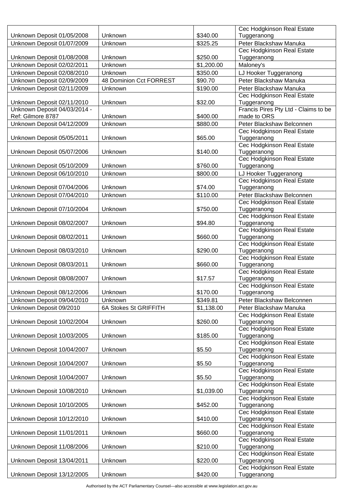|                              |                         |            | Cec Hodgkinson Real Estate                           |
|------------------------------|-------------------------|------------|------------------------------------------------------|
| Unknown Deposit 01/05/2008   | Unknown                 | \$340.00   | Tuggeranong                                          |
| Unknown Deposit 01/07/2009   | Unknown                 | \$325.25   | Peter Blackshaw Manuka                               |
| Unknown Deposit 01/08/2008   | Unknown                 | \$250.00   | Cec Hodgkinson Real Estate<br>Tuggeranong            |
| Unknown Deposit 02/02/2011   | Unknown                 | \$1,200.00 | Maloney's                                            |
| Unknown Deposit 02/08/2010   | Unknown                 | \$350.00   | LJ Hooker Tuggeranong                                |
| Unknown Deposit 02/09/2009   | 48 Dominion Cct FORREST | \$90.70    | Peter Blackshaw Manuka                               |
|                              |                         |            |                                                      |
| Unknown Deposit 02/11/2009   | Unknown                 | \$190.00   | Peter Blackshaw Manuka<br>Cec Hodgkinson Real Estate |
| Unknown Deposit 02/11/2010   | Unknown                 | \$32.00    | Tuggeranong                                          |
| Unknown Deposit 04/03/2014 - |                         |            | Francis Pires Pty Ltd - Claims to be                 |
| Ref: Gilmore 8787            | Unknown                 | \$400.00   | made to ORS                                          |
| Unknown Deposit 04/12/2009   | Unknown                 | \$880.00   | Peter Blackshaw Belconnen                            |
|                              |                         |            | Cec Hodgkinson Real Estate                           |
| Unknown Deposit 05/05/2011   | Unknown                 | \$65.00    | Tuggeranong                                          |
|                              |                         |            | Cec Hodgkinson Real Estate                           |
| Unknown Deposit 05/07/2006   | Unknown                 | \$140.00   | Tuggeranong                                          |
|                              |                         |            | Cec Hodgkinson Real Estate                           |
| Unknown Deposit 05/10/2009   | Unknown                 | \$760.00   | Tuggeranong                                          |
| Unknown Deposit 06/10/2010   | Unknown                 | \$800.00   | LJ Hooker Tuggeranong                                |
| Unknown Deposit 07/04/2006   | Unknown                 | \$74.00    | Cec Hodgkinson Real Estate<br>Tuggeranong            |
| Unknown Deposit 07/04/2010   | Unknown                 | \$110.00   | Peter Blackshaw Belconnen                            |
|                              |                         |            | Cec Hodgkinson Real Estate                           |
| Unknown Deposit 07/10/2004   | Unknown                 | \$750.00   | Tuggeranong                                          |
|                              |                         |            | Cec Hodgkinson Real Estate                           |
| Unknown Deposit 08/02/2007   | Unknown                 | \$94.80    | Tuggeranong                                          |
|                              |                         |            | Cec Hodgkinson Real Estate                           |
| Unknown Deposit 08/02/2011   | Unknown                 | \$660.00   | Tuggeranong                                          |
|                              |                         |            | Cec Hodgkinson Real Estate                           |
| Unknown Deposit 08/03/2010   | Unknown                 | \$290.00   | Tuggeranong                                          |
| Unknown Deposit 08/03/2011   | Unknown                 | \$660.00   | Cec Hodgkinson Real Estate<br>Tuggeranong            |
|                              |                         |            | Cec Hodgkinson Real Estate                           |
| Unknown Deposit 08/08/2007   | Unknown                 | \$17.57    | Tuggeranong                                          |
|                              |                         |            | Cec Hodgkinson Real Estate                           |
| Unknown Deposit 08/12/2006   | Unknown                 | \$170.00   | Tuggeranong                                          |
| Unknown Deposit 09/04/2010   | Unknown                 | \$349.81   | Peter Blackshaw Belconnen                            |
| Unknown Deposit 09/2010      | 6A Stokes St GRIFFITH   | \$1,138.00 | Peter Blackshaw Manuka                               |
|                              |                         |            | Cec Hodgkinson Real Estate                           |
| Unknown Deposit 10/02/2004   | Unknown                 | \$260.00   | Tuggeranong                                          |
|                              |                         |            | Cec Hodgkinson Real Estate                           |
| Unknown Deposit 10/03/2005   | Unknown                 | \$185.00   | Tuggeranong                                          |
| Unknown Deposit 10/04/2007   | Unknown                 | \$5.50     | Cec Hodgkinson Real Estate<br>Tuggeranong            |
|                              |                         |            | Cec Hodgkinson Real Estate                           |
| Unknown Deposit 10/04/2007   | Unknown                 | \$5.50     | Tuggeranong                                          |
|                              |                         |            | Cec Hodgkinson Real Estate                           |
| Unknown Deposit 10/04/2007   | Unknown                 | \$5.50     | Tuggeranong                                          |
|                              |                         |            | Cec Hodgkinson Real Estate                           |
| Unknown Deposit 10/08/2010   | Unknown                 | \$1,039.00 | Tuggeranong                                          |
|                              |                         |            | Cec Hodgkinson Real Estate                           |
| Unknown Deposit 10/10/2005   | Unknown                 | \$452.00   | Tuggeranong                                          |
|                              | Unknown                 | \$410.00   | Cec Hodgkinson Real Estate                           |
| Unknown Deposit 10/12/2010   |                         |            | Tuggeranong<br>Cec Hodgkinson Real Estate            |
| Unknown Deposit 11/01/2011   | Unknown                 | \$660.00   | Tuggeranong                                          |
|                              |                         |            | Cec Hodgkinson Real Estate                           |
| Unknown Deposit 11/08/2006   | Unknown                 | \$210.00   | Tuggeranong                                          |
|                              |                         |            | Cec Hodgkinson Real Estate                           |
| Unknown Deposit 13/04/2011   | Unknown                 | \$220.00   | Tuggeranong                                          |
|                              |                         |            | Cec Hodgkinson Real Estate                           |
| Unknown Deposit 13/12/2005   | Unknown                 | \$420.00   | Tuggeranong                                          |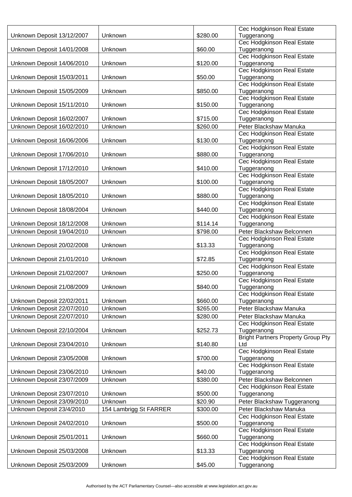|                            |                        |          | Cec Hodgkinson Real Estate                               |
|----------------------------|------------------------|----------|----------------------------------------------------------|
| Unknown Deposit 13/12/2007 | Unknown                | \$280.00 | Tuggeranong                                              |
|                            |                        |          | Cec Hodgkinson Real Estate                               |
| Unknown Deposit 14/01/2008 | Unknown                | \$60.00  | Tuggeranong                                              |
|                            |                        |          | Cec Hodgkinson Real Estate                               |
| Unknown Deposit 14/06/2010 | Unknown                | \$120.00 | Tuggeranong                                              |
|                            |                        |          | Cec Hodgkinson Real Estate                               |
| Unknown Deposit 15/03/2011 | Unknown                | \$50.00  | Tuggeranong                                              |
|                            |                        |          | Cec Hodgkinson Real Estate                               |
| Unknown Deposit 15/05/2009 | Unknown                | \$850.00 | Tuggeranong                                              |
|                            |                        |          | Cec Hodgkinson Real Estate                               |
| Unknown Deposit 15/11/2010 | Unknown                | \$150.00 | Tuggeranong                                              |
|                            |                        |          | Cec Hodgkinson Real Estate                               |
| Unknown Deposit 16/02/2007 | Unknown                | \$715.00 | Tuggeranong                                              |
| Unknown Deposit 16/02/2010 | Unknown                | \$260.00 | Peter Blackshaw Manuka                                   |
|                            |                        |          | Cec Hodgkinson Real Estate                               |
| Unknown Deposit 16/06/2006 | Unknown                | \$130.00 | Tuggeranong                                              |
|                            |                        |          | Cec Hodgkinson Real Estate                               |
| Unknown Deposit 17/06/2010 | Unknown                | \$880.00 | Tuggeranong                                              |
|                            |                        |          | Cec Hodgkinson Real Estate                               |
| Unknown Deposit 17/12/2010 | Unknown                | \$410.00 | Tuggeranong                                              |
|                            |                        |          | Cec Hodgkinson Real Estate                               |
| Unknown Deposit 18/05/2007 | Unknown                | \$100.00 | Tuggeranong                                              |
|                            |                        |          | Cec Hodgkinson Real Estate                               |
| Unknown Deposit 18/05/2010 | Unknown                | \$880.00 | Tuggeranong                                              |
|                            |                        |          | Cec Hodgkinson Real Estate                               |
| Unknown Deposit 18/08/2004 | Unknown                | \$440.00 | Tuggeranong                                              |
|                            | Unknown                | \$114.14 | Cec Hodgkinson Real Estate                               |
| Unknown Deposit 18/12/2008 |                        |          | Tuggeranong                                              |
| Unknown Deposit 19/04/2010 | Unknown                | \$798.00 | Peter Blackshaw Belconnen                                |
|                            |                        |          | Cec Hodgkinson Real Estate                               |
| Unknown Deposit 20/02/2008 | Unknown                | \$13.33  | Tuggeranong<br>Cec Hodgkinson Real Estate                |
|                            |                        | \$72.85  |                                                          |
| Unknown Deposit 21/01/2010 | Unknown                |          | Tuggeranong<br>Cec Hodgkinson Real Estate                |
| Unknown Deposit 21/02/2007 | Unknown                | \$250.00 | Tuggeranong                                              |
|                            |                        |          | Cec Hodgkinson Real Estate                               |
| Unknown Deposit 21/08/2009 | Unknown                | \$840.00 | Tuggeranong                                              |
|                            |                        |          | Cec Hodgkinson Real Estate                               |
| Unknown Deposit 22/02/2011 | Unknown                | \$660.00 | Tuggeranong                                              |
| Unknown Deposit 22/07/2010 | Unknown                | \$265.00 | Peter Blackshaw Manuka                                   |
|                            |                        |          |                                                          |
| Unknown Deposit 22/07/2010 | Unknown                | \$280.00 | Peter Blackshaw Manuka                                   |
|                            |                        |          | Cec Hodgkinson Real Estate                               |
| Unknown Deposit 22/10/2004 | Unknown                | \$252.73 | Tuggeranong<br><b>Bright Partners Property Group Pty</b> |
| Unknown Deposit 23/04/2010 | Unknown                | \$140.80 | Ltd                                                      |
|                            |                        |          | Cec Hodgkinson Real Estate                               |
| Unknown Deposit 23/05/2008 | Unknown                | \$700.00 | Tuggeranong                                              |
|                            |                        |          | Cec Hodgkinson Real Estate                               |
| Unknown Deposit 23/06/2010 | Unknown                | \$40.00  | Tuggeranong                                              |
| Unknown Deposit 23/07/2009 |                        | \$380.00 | Peter Blackshaw Belconnen                                |
|                            | Unknown                |          |                                                          |
| Unknown Deposit 23/07/2010 | Unknown                | \$500.00 | Cec Hodgkinson Real Estate                               |
|                            |                        |          | Tuggeranong                                              |
| Unknown Deposit 23/09/2010 | Unknown                | \$20.90  | Peter Blackshaw Tuggeranong                              |
| Unknown Deposit 23/4/2010  | 154 Lambrigg St FARRER | \$300.00 | Peter Blackshaw Manuka                                   |
|                            |                        |          | Cec Hodgkinson Real Estate                               |
| Unknown Deposit 24/02/2010 | Unknown                | \$500.00 | Tuggeranong                                              |
|                            |                        |          | Cec Hodgkinson Real Estate                               |
| Unknown Deposit 25/01/2011 | Unknown                | \$660.00 | Tuggeranong                                              |
|                            |                        |          | Cec Hodgkinson Real Estate                               |
| Unknown Deposit 25/03/2008 | Unknown                | \$13.33  | Tuggeranong                                              |
|                            |                        |          | Cec Hodgkinson Real Estate                               |
| Unknown Deposit 25/03/2009 | Unknown                | \$45.00  | Tuggeranong                                              |